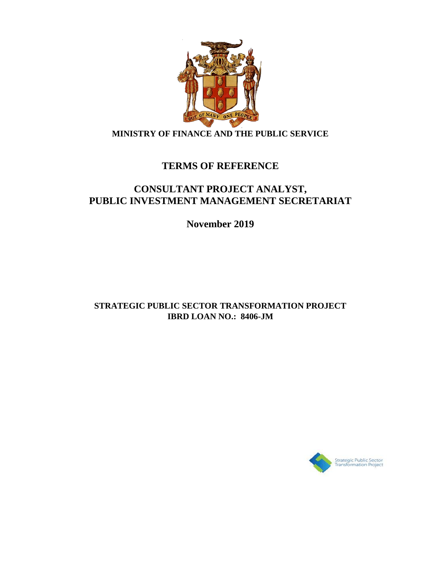

## **MINISTRY OF FINANCE AND THE PUBLIC SERVICE**

# **TERMS OF REFERENCE**

# **CONSULTANT PROJECT ANALYST, PUBLIC INVESTMENT MANAGEMENT SECRETARIAT**

**November 2019**

## **STRATEGIC PUBLIC SECTOR TRANSFORMATION PROJECT IBRD LOAN NO.: 8406-JM**

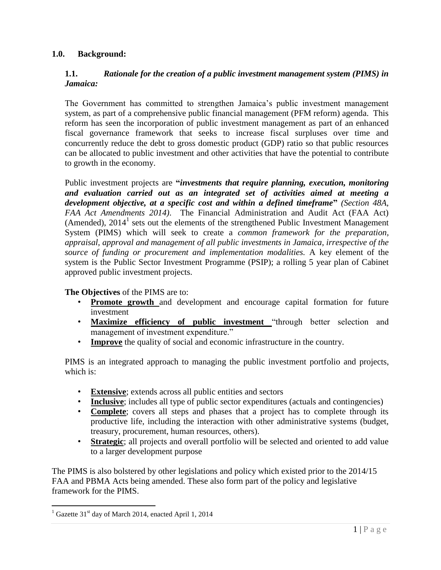#### **1.0. Background:**

#### **1.1.** *Rationale for the creation of a public investment management system (PIMS) in Jamaica:*

The Government has committed to strengthen Jamaica's public investment management system, as part of a comprehensive public financial management (PFM reform) agenda. This reform has seen the incorporation of public investment management as part of an enhanced fiscal governance framework that seeks to increase fiscal surpluses over time and concurrently reduce the debt to gross domestic product (GDP) ratio so that public resources can be allocated to public investment and other activities that have the potential to contribute to growth in the economy.

Public investment projects are **"***investments that require planning, execution, monitoring and evaluation carried out as an integrated set of activities aimed at meeting a development objective, at a specific cost and within a defined timeframe***"** *(Section 48A, FAA Act Amendments 2014)*. The Financial Administration and Audit Act (FAA Act) (Amended),  $2014<sup>1</sup>$  sets out the elements of the strengthened Public Investment Management System (PIMS) which will seek to create a *common framework for the preparation, appraisal, approval and management of all public investments in Jamaica, irrespective of the source of funding or procurement and implementation modalities.* A key element of the system is the Public Sector Investment Programme (PSIP); a rolling 5 year plan of Cabinet approved public investment projects.

**The Objectives** of the PIMS are to:

- **Promote growth** and development and encourage capital formation for future investment
- **Maximize efficiency of public investment** "through better selection and management of investment expenditure."
- **Improve** the quality of social and economic infrastructure in the country.

PIMS is an integrated approach to managing the public investment portfolio and projects, which is:

- **Extensive**; extends across all public entities and sectors
- **Inclusive**; includes all type of public sector expenditures (actuals and contingencies)
- **Complete**; covers all steps and phases that a project has to complete through its productive life, including the interaction with other administrative systems (budget, treasury, procurement, human resources, others).
- **Strategic**; all projects and overall portfolio will be selected and oriented to add value to a larger development purpose

The PIMS is also bolstered by other legislations and policy which existed prior to the 2014/15 FAA and PBMA Acts being amended. These also form part of the policy and legislative framework for the PIMS.

 $\overline{a}$ 

 $1$  Gazette 31<sup>st</sup> day of March 2014, enacted April 1, 2014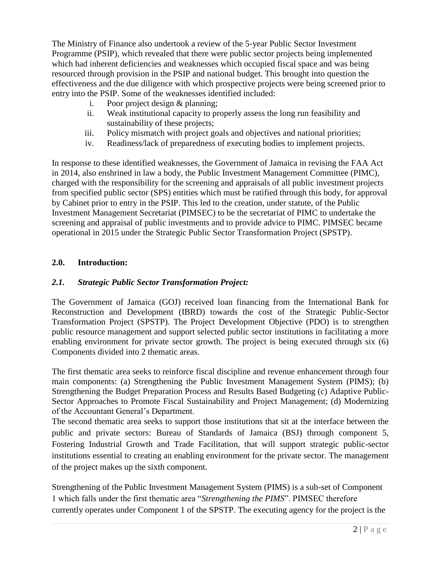The Ministry of Finance also undertook a review of the 5-year Public Sector Investment Programme (PSIP), which revealed that there were public sector projects being implemented which had inherent deficiencies and weaknesses which occupied fiscal space and was being resourced through provision in the PSIP and national budget. This brought into question the effectiveness and the due diligence with which prospective projects were being screened prior to entry into the PSIP. Some of the weaknesses identified included:

- i. Poor project design & planning;
- ii. Weak institutional capacity to properly assess the long run feasibility and sustainability of these projects;
- iii. Policy mismatch with project goals and objectives and national priorities;
- iv. Readiness/lack of preparedness of executing bodies to implement projects.

In response to these identified weaknesses, the Government of Jamaica in revising the FAA Act in 2014, also enshrined in law a body, the Public Investment Management Committee (PIMC), charged with the responsibility for the screening and appraisals of all public investment projects from specified public sector (SPS) entities which must be ratified through this body, for approval by Cabinet prior to entry in the PSIP. This led to the creation, under statute, of the Public Investment Management Secretariat (PIMSEC) to be the secretariat of PIMC to undertake the screening and appraisal of public investments and to provide advice to PIMC. PIMSEC became operational in 2015 under the Strategic Public Sector Transformation Project (SPSTP).

#### **2.0. Introduction:**

#### *2.1. Strategic Public Sector Transformation Project:*

The Government of Jamaica (GOJ) received loan financing from the International Bank for Reconstruction and Development (IBRD) towards the cost of the Strategic Public-Sector Transformation Project (SPSTP). The Project Development Objective (PDO) is to strengthen public resource management and support selected public sector institutions in facilitating a more enabling environment for private sector growth. The project is being executed through six (6) Components divided into 2 thematic areas.

The first thematic area seeks to reinforce fiscal discipline and revenue enhancement through four main components: (a) Strengthening the Public Investment Management System (PIMS); (b) Strengthening the Budget Preparation Process and Results Based Budgeting (c) Adaptive Public-Sector Approaches to Promote Fiscal Sustainability and Project Management; (d) Modernizing of the Accountant General's Department.

The second thematic area seeks to support those institutions that sit at the interface between the public and private sectors: Bureau of Standards of Jamaica (BSJ) through component 5, Fostering Industrial Growth and Trade Facilitation, that will support strategic public-sector institutions essential to creating an enabling environment for the private sector. The management of the project makes up the sixth component.

Strengthening of the Public Investment Management System (PIMS) is a sub-set of Component 1 which falls under the first thematic area "*Strengthening the PIMS*". PIMSEC therefore currently operates under Component 1 of the SPSTP. The executing agency for the project is the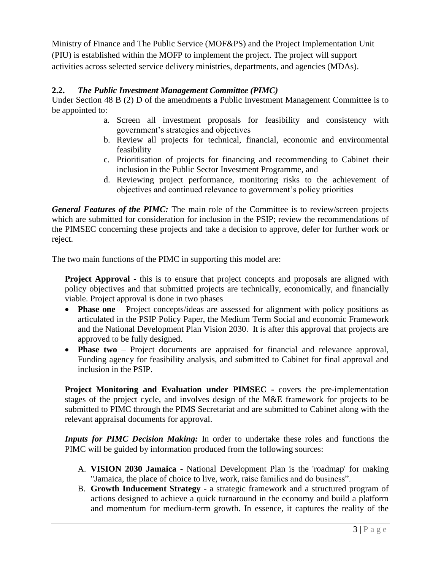Ministry of Finance and The Public Service (MOF&PS) and the Project Implementation Unit (PIU) is established within the MOFP to implement the project. The project will support activities across selected service delivery ministries, departments, and agencies (MDAs).

#### **2.2.** *The Public Investment Management Committee (PIMC)*

Under Section 48 B (2) D of the amendments a Public Investment Management Committee is to be appointed to:

- a. Screen all investment proposals for feasibility and consistency with government's strategies and objectives
- b. Review all projects for technical, financial, economic and environmental feasibility
- c. Prioritisation of projects for financing and recommending to Cabinet their inclusion in the Public Sector Investment Programme, and
- d. Reviewing project performance, monitoring risks to the achievement of objectives and continued relevance to government's policy priorities

*General Features of the PIMC:* The main role of the Committee is to review/screen projects which are submitted for consideration for inclusion in the PSIP; review the recommendations of the PIMSEC concerning these projects and take a decision to approve, defer for further work or reject.

The two main functions of the PIMC in supporting this model are:

**Project Approval -** this is to ensure that project concepts and proposals are aligned with policy objectives and that submitted projects are technically, economically, and financially viable. Project approval is done in two phases

- **Phase one** Project concepts/ideas are assessed for alignment with policy positions as articulated in the PSIP Policy Paper, the Medium Term Social and economic Framework and the National Development Plan Vision 2030. It is after this approval that projects are approved to be fully designed.
- **Phase two** Project documents are appraised for financial and relevance approval, Funding agency for feasibility analysis, and submitted to Cabinet for final approval and inclusion in the PSIP.

**Project Monitoring and Evaluation under PIMSEC -** covers the pre-implementation stages of the project cycle, and involves design of the M&E framework for projects to be submitted to PIMC through the PIMS Secretariat and are submitted to Cabinet along with the relevant appraisal documents for approval.

*Inputs for PIMC Decision Making:* In order to undertake these roles and functions the PIMC will be guided by information produced from the following sources:

- A. **VISION 2030 Jamaica** National Development Plan is the 'roadmap' for making "Jamaica, the place of choice to live, work, raise families and do business".
- B. **Growth Inducement Strategy**  a strategic framework and a structured program of actions designed to achieve a quick turnaround in the economy and build a platform and momentum for medium-term growth. In essence, it captures the reality of the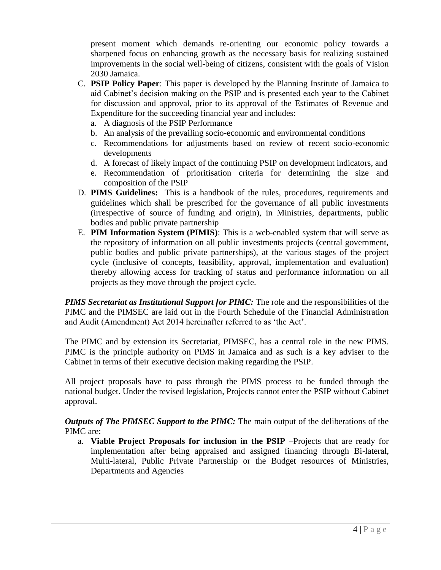present moment which demands re-orienting our economic policy towards a sharpened focus on enhancing growth as the necessary basis for realizing sustained improvements in the social well-being of citizens, consistent with the goals of Vision 2030 Jamaica.

- C. **PSIP Policy Paper**: This paper is developed by the Planning Institute of Jamaica to aid Cabinet's decision making on the PSIP and is presented each year to the Cabinet for discussion and approval, prior to its approval of the Estimates of Revenue and Expenditure for the succeeding financial year and includes:
	- a. A diagnosis of the PSIP Performance
	- b. An analysis of the prevailing socio-economic and environmental conditions
	- c. Recommendations for adjustments based on review of recent socio-economic developments
	- d. A forecast of likely impact of the continuing PSIP on development indicators, and
	- e. Recommendation of prioritisation criteria for determining the size and composition of the PSIP
- D. **PIMS Guidelines:** This is a handbook of the rules, procedures, requirements and guidelines which shall be prescribed for the governance of all public investments (irrespective of source of funding and origin), in Ministries, departments, public bodies and public private partnership
- E. **PIM Information System (PIMIS)**: This is a web-enabled system that will serve as the repository of information on all public investments projects (central government, public bodies and public private partnerships), at the various stages of the project cycle (inclusive of concepts, feasibility, approval, implementation and evaluation) thereby allowing access for tracking of status and performance information on all projects as they move through the project cycle.

*PIMS Secretariat as Institutional Support for PIMC:* The role and the responsibilities of the PIMC and the PIMSEC are laid out in the Fourth Schedule of the Financial Administration and Audit (Amendment) Act 2014 hereinafter referred to as 'the Act'.

The PIMC and by extension its Secretariat, PIMSEC, has a central role in the new PIMS. PIMC is the principle authority on PIMS in Jamaica and as such is a key adviser to the Cabinet in terms of their executive decision making regarding the PSIP.

All project proposals have to pass through the PIMS process to be funded through the national budget. Under the revised legislation, Projects cannot enter the PSIP without Cabinet approval.

*Outputs of The PIMSEC Support to the PIMC:* The main output of the deliberations of the PIMC are:

a. **Viable Project Proposals for inclusion in the PSIP –**Projects that are ready for implementation after being appraised and assigned financing through Bi-lateral, Multi-lateral, Public Private Partnership or the Budget resources of Ministries, Departments and Agencies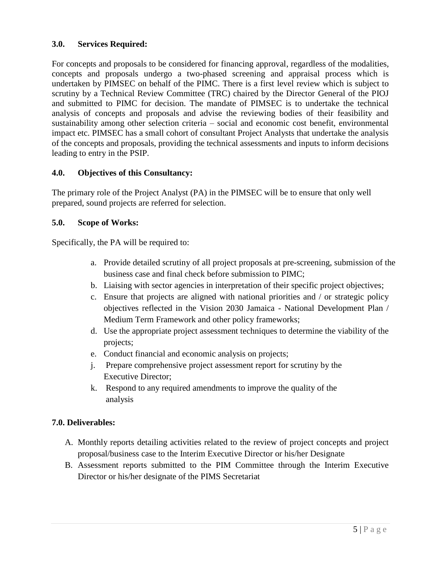#### **3.0. Services Required:**

For concepts and proposals to be considered for financing approval, regardless of the modalities, concepts and proposals undergo a two-phased screening and appraisal process which is undertaken by PIMSEC on behalf of the PIMC. There is a first level review which is subject to scrutiny by a Technical Review Committee (TRC) chaired by the Director General of the PIOJ and submitted to PIMC for decision. The mandate of PIMSEC is to undertake the technical analysis of concepts and proposals and advise the reviewing bodies of their feasibility and sustainability among other selection criteria – social and economic cost benefit, environmental impact etc. PIMSEC has a small cohort of consultant Project Analysts that undertake the analysis of the concepts and proposals, providing the technical assessments and inputs to inform decisions leading to entry in the PSIP.

#### **4.0. Objectives of this Consultancy:**

The primary role of the Project Analyst (PA) in the PIMSEC will be to ensure that only well prepared, sound projects are referred for selection.

#### **5.0. Scope of Works:**

Specifically, the PA will be required to:

- a. Provide detailed scrutiny of all project proposals at pre-screening, submission of the business case and final check before submission to PIMC;
- b. Liaising with sector agencies in interpretation of their specific project objectives;
- c. Ensure that projects are aligned with national priorities and / or strategic policy objectives reflected in the Vision 2030 Jamaica - National Development Plan / Medium Term Framework and other policy frameworks;
- d. Use the appropriate project assessment techniques to determine the viability of the projects;
- e. Conduct financial and economic analysis on projects;
- j. Prepare comprehensive project assessment report for scrutiny by the Executive Director;
- k. Respond to any required amendments to improve the quality of the analysis

### **7.0. Deliverables:**

- A. Monthly reports detailing activities related to the review of project concepts and project proposal/business case to the Interim Executive Director or his/her Designate
- B. Assessment reports submitted to the PIM Committee through the Interim Executive Director or his/her designate of the PIMS Secretariat